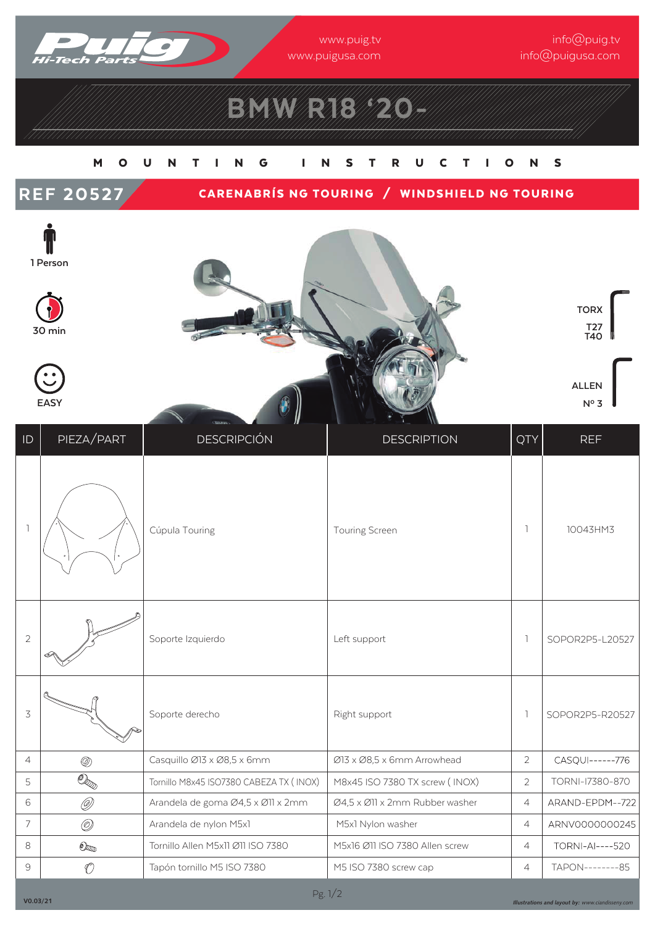

www.puig.tv www.puigusa.com

info@puig.tv info@puigusa.com

# BMW R18 '20-

### M O U N T I N G I NSTR U CTI O N S

### REF 20527 CARENABRÍS NG TOURING / WINDSHIELD NG TOURING









**TORX T27 T40**





| ID             | PIEZA/PART                                   | <b>DESCRIPCIÓN</b>                      | <b>DESCRIPTION</b>             | QTY            | <b>REF</b>             |
|----------------|----------------------------------------------|-----------------------------------------|--------------------------------|----------------|------------------------|
|                |                                              | Cúpula Touring                          | Touring Screen                 |                | 10043HM3               |
| $\sqrt{2}$     |                                              | Soporte Izquierdo                       | Left support                   | ı              | SOPOR2P5-L20527        |
| 3              |                                              | Soporte derecho                         | Right support                  | -1             | SOPOR2P5-R20527        |
| $\overline{4}$ | $^{\circledR}$                               | Casquillo Ø13 x Ø8,5 x 6mm              | Ø13 x Ø8,5 x 6mm Arrowhead     | $\overline{2}$ | CASQUI------776        |
| 5              | $\bar{\mathbb{O}}_{\mathbb{Z}_{\mathbb{D}}}$ | Tornillo M8x45 ISO7380 CABEZA TX (INOX) | M8x45 ISO 7380 TX screw (INOX) | $\overline{2}$ | TORNI-17380-870        |
| 6              | Ø                                            | Arandela de goma Ø4,5 x Ø11 x 2mm       | Ø4,5 x Ø11 x 2mm Rubber washer | $\overline{4}$ | ARAND-EPDM--722        |
| $\overline{7}$ | $\circledcirc$                               | Arandela de nylon M5x1                  | M5x1 Nylon washer              | $\overline{4}$ | ARNV0000000245         |
| 8              | $\mathbb{O}_\mathbb{Z}$                      | Tornillo Allen M5x11 Ø11 ISO 7380       | M5x16 Ø11 ISO 7380 Allen screw | $\overline{4}$ | <b>TORNI-AI----520</b> |
| $\Theta$       | $\mathcal{O}$                                | Tapón tornillo M5 ISO 7380              | M5 ISO 7380 screw cap          | 4              | TAPON---------85       |